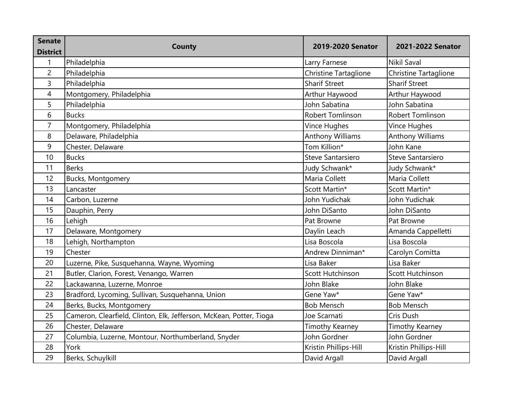| <b>Senate</b>   | <b>County</b>                                                       | 2019-2020 Senator       | 2021-2022 Senator       |
|-----------------|---------------------------------------------------------------------|-------------------------|-------------------------|
| <b>District</b> |                                                                     |                         |                         |
| 1               | Philadelphia                                                        | Larry Farnese           | <b>Nikil Saval</b>      |
| $\overline{c}$  | Philadelphia                                                        | Christine Tartaglione   | Christine Tartaglione   |
| 3               | Philadelphia                                                        | <b>Sharif Street</b>    | <b>Sharif Street</b>    |
| 4               | Montgomery, Philadelphia                                            | Arthur Haywood          | Arthur Haywood          |
| 5               | Philadelphia                                                        | John Sabatina           | John Sabatina           |
| 6               | <b>Bucks</b>                                                        | <b>Robert Tomlinson</b> | <b>Robert Tomlinson</b> |
| $\overline{7}$  | Montgomery, Philadelphia                                            | Vince Hughes            | Vince Hughes            |
| 8               | Delaware, Philadelphia                                              | <b>Anthony Williams</b> | <b>Anthony Williams</b> |
| 9               | Chester, Delaware                                                   | Tom Killion*            | John Kane               |
| 10              | <b>Bucks</b>                                                        | Steve Santarsiero       | Steve Santarsiero       |
| 11              | <b>Berks</b>                                                        | Judy Schwank*           | Judy Schwank*           |
| 12              | <b>Bucks, Montgomery</b>                                            | Maria Collett           | Maria Collett           |
| 13              | Lancaster                                                           | Scott Martin*           | Scott Martin*           |
| 14              | Carbon, Luzerne                                                     | John Yudichak           | John Yudichak           |
| 15              | Dauphin, Perry                                                      | John DiSanto            | John DiSanto            |
| 16              | Lehigh                                                              | Pat Browne              | Pat Browne              |
| 17              | Delaware, Montgomery                                                | Daylin Leach            | Amanda Cappelletti      |
| 18              | Lehigh, Northampton                                                 | Lisa Boscola            | Lisa Boscola            |
| 19              | Chester                                                             | Andrew Dinniman*        | Carolyn Comitta         |
| 20              | Luzerne, Pike, Susquehanna, Wayne, Wyoming                          | Lisa Baker              | Lisa Baker              |
| 21              | Butler, Clarion, Forest, Venango, Warren                            | Scott Hutchinson        | Scott Hutchinson        |
| 22              | Lackawanna, Luzerne, Monroe                                         | John Blake              | John Blake              |
| 23              | Bradford, Lycoming, Sullivan, Susquehanna, Union                    | Gene Yaw*               | Gene Yaw*               |
| 24              | Berks, Bucks, Montgomery                                            | <b>Bob Mensch</b>       | <b>Bob Mensch</b>       |
| 25              | Cameron, Clearfield, Clinton, Elk, Jefferson, McKean, Potter, Tioga | Joe Scarnati            | Cris Dush               |
| 26              | Chester, Delaware                                                   | Timothy Kearney         | <b>Timothy Kearney</b>  |
| 27              | Columbia, Luzerne, Montour, Northumberland, Snyder                  | John Gordner            | John Gordner            |
| 28              | York                                                                | Kristin Phillips-Hill   | Kristin Phillips-Hill   |
| 29              | Berks, Schuylkill                                                   | David Argall            | David Argall            |